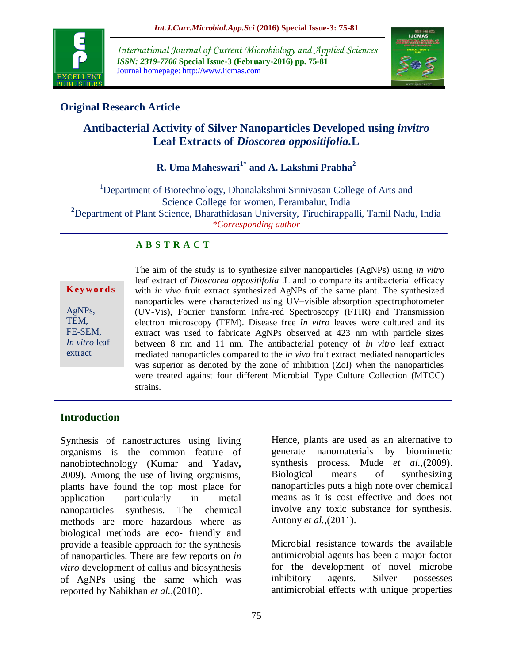

*International Journal of Current Microbiology and Applied Sciences ISSN: 2319-7706* **Special Issue-3 (February-2016) pp. 75-81** Journal homepage: http://www.ijcmas.com



# **Original Research Article**

# **Antibacterial Activity of Silver Nanoparticles Developed using** *invitro* **Leaf Extracts of** *Dioscorea oppositifolia.***L**

# **R. Uma Maheswari1\* and A. Lakshmi Prabha<sup>2</sup>**

<sup>1</sup>Department of Biotechnology, Dhanalakshmi Srinivasan College of Arts and Science College for women, Perambalur, India <sup>2</sup>Department of Plant Science, Bharathidasan University, Tiruchirappalli, Tamil Nadu, India *\*Corresponding author*

### **A B S T R A C T**

**K ey w o rd s**

AgNPs, TEM, FE-SEM, *In vitro* leaf extract

The aim of the study is to synthesize silver nanoparticles (AgNPs) using *in vitro*  leaf extract of *Dioscorea oppositifolia* .L and to compare its antibacterial efficacy with *in vivo* fruit extract synthesized AgNPs of the same plant. The synthesized nanoparticles were characterized using UV–visible absorption spectrophotometer (UV-Vis), Fourier transform Infra-red Spectroscopy (FTIR) and Transmission electron microscopy (TEM). Disease free *In vitro* leaves were cultured and its extract was used to fabricate AgNPs observed at 423 nm with particle sizes between 8 nm and 11 nm. The antibacterial potency of *in vitro* leaf extract mediated nanoparticles compared to the *in vivo* fruit extract mediated nanoparticles was superior as denoted by the zone of inhibition (ZoI) when the nanoparticles were treated against four different Microbial Type Culture Collection (MTCC) strains.

## **Introduction**

Synthesis of nanostructures using living organisms is the common feature of nanobiotechnology (Kumar and Yadav**,** 2009). Among the use of living organisms, plants have found the top most place for application particularly in metal nanoparticles synthesis. The chemical methods are more hazardous where as biological methods are eco- friendly and provide a feasible approach for the synthesis of nanoparticles. There are few reports on *in vitro* development of callus and biosynthesis of AgNPs using the same which was reported by Nabikhan *et al.,*(2010).

Hence, plants are used as an alternative to generate nanomaterials by biomimetic synthesis process. Mude *et al.,*(2009). Biological means of synthesizing nanoparticles puts a high note over chemical means as it is cost effective and does not involve any toxic substance for synthesis. Antony *et al.,*(2011).

Microbial resistance towards the available antimicrobial agents has been a major factor for the development of novel microbe inhibitory agents. Silver possesses antimicrobial effects with unique properties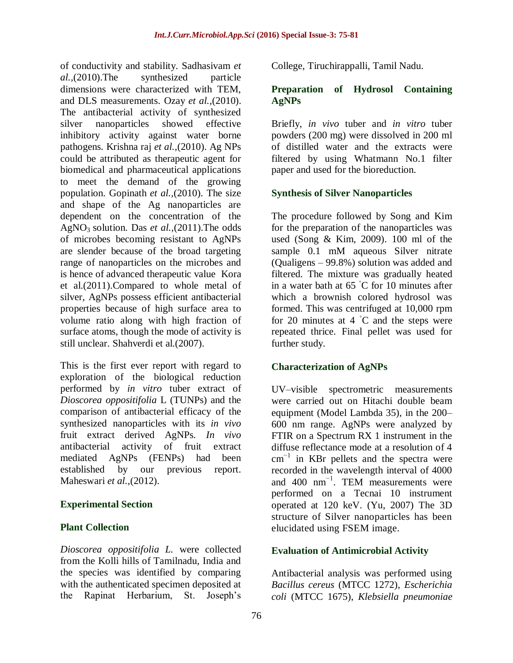of conductivity and stability. Sadhasivam *et al.,*(2010).The synthesized particle dimensions were characterized with TEM, and DLS measurements. Ozay *et al.,*(2010). The antibacterial activity of synthesized silver nanoparticles showed effective inhibitory activity against water borne pathogens. Krishna raj *et al.,*(2010). Ag NPs could be attributed as therapeutic agent for biomedical and pharmaceutical applications to meet the demand of the growing population. Gopinath *et al.,*(2010). The size and shape of the Ag nanoparticles are dependent on the concentration of the AgNO3 solution. Das *et al.,*(2011).The odds of microbes becoming resistant to AgNPs are slender because of the broad targeting range of nanoparticles on the microbes and is hence of advanced therapeutic value Kora et al.(2011).Compared to whole metal of silver, AgNPs possess efficient antibacterial properties because of high surface area to volume ratio along with high fraction of surface atoms, though the mode of activity is still unclear. Shahverdi et al.(2007).

This is the first ever report with regard to exploration of the biological reduction performed by *in vitro* tuber extract of *Dioscorea oppositifolia* L (TUNPs) and the comparison of antibacterial efficacy of the synthesized nanoparticles with its *in vivo* fruit extract derived AgNPs. *In vivo*  antibacterial activity of fruit extract mediated AgNPs (FENPs) had been established by our previous report. Maheswari *et al.,*(2012).

## **Experimental Section**

## **Plant Collection**

*Dioscorea oppositifolia L.* were collected from the Kolli hills of Tamilnadu, India and the species was identified by comparing with the authenticated specimen deposited at the Rapinat Herbarium, St. Joseph's

College, Tiruchirappalli, Tamil Nadu.

### **Preparation of Hydrosol Containing AgNPs**

Briefly, *in vivo* tuber and *in vitro* tuber powders (200 mg) were dissolved in 200 ml of distilled water and the extracts were filtered by using Whatmann No.1 filter paper and used for the bioreduction.

## **Synthesis of Silver Nanoparticles**

The procedure followed by Song and Kim for the preparation of the nanoparticles was used (Song & Kim, 2009). 100 ml of the sample 0.1 mM aqueous Silver nitrate (Qualigens – 99.8%) solution was added and filtered. The mixture was gradually heated in a water bath at 65 ◦C for 10 minutes after which a brownish colored hydrosol was formed. This was centrifuged at 10,000 rpm for 20 minutes at  $4\degree C$  and the steps were repeated thrice. Final pellet was used for further study.

### **Characterization of AgNPs**

UV–visible spectrometric measurements were carried out on Hitachi double beam equipment (Model Lambda 35), in the 200– 600 nm range. AgNPs were analyzed by FTIR on a Spectrum RX 1 instrument in the diffuse reflectance mode at a resolution of 4  $cm^{-1}$  in KBr pellets and the spectra were recorded in the wavelength interval of 4000 and 400 nm−1. TEM measurements were performed on a Tecnai 10 instrument operated at 120 keV. (Yu, 2007) The 3D structure of Silver nanoparticles has been elucidated using FSEM image.

## **Evaluation of Antimicrobial Activity**

Antibacterial analysis was performed using *Bacillus cereus* (MTCC 1272), *Escherichia coli* (MTCC 1675), *Klebsiella pneumoniae*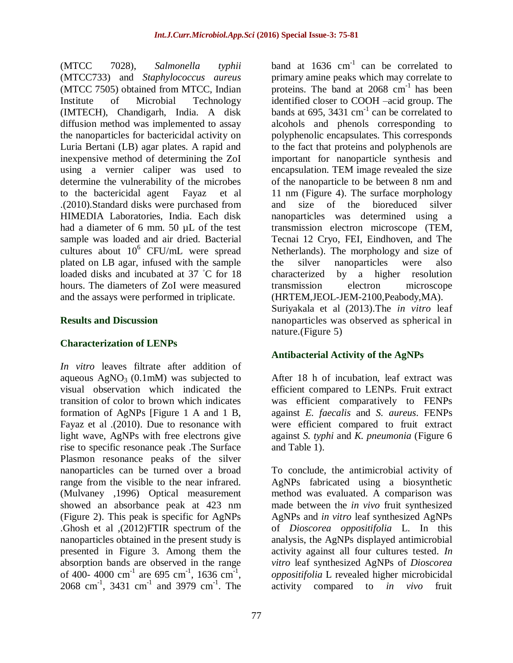(MTCC 7028), *Salmonella typhii* (MTCC733) and *Staphylococcus aureus*  (MTCC 7505) obtained from MTCC, Indian Institute of Microbial Technology (IMTECH), Chandigarh, India. A disk diffusion method was implemented to assay the nanoparticles for bactericidal activity on Luria Bertani (LB) agar plates. A rapid and inexpensive method of determining the ZoI using a vernier caliper was used to determine the vulnerability of the microbes to the bactericidal agent Fayaz et al .(2010).Standard disks were purchased from HIMEDIA Laboratories, India. Each disk had a diameter of 6 mm. 50 µL of the test sample was loaded and air dried. Bacterial cultures about  $10^6$  CFU/mL were spread plated on LB agar, infused with the sample loaded disks and incubated at 37 ◦C for 18 hours. The diameters of ZoI were measured and the assays were performed in triplicate.

#### **Results and Discussion**

### **Characterization of LENPs**

*In vitro* leaves filtrate after addition of aqueous  $AgNO<sub>3</sub>$  (0.1mM) was subjected to visual observation which indicated the transition of color to brown which indicates formation of AgNPs [Figure 1 A and 1 B, Fayaz et al .(2010). Due to resonance with light wave, AgNPs with free electrons give rise to specific resonance peak .The Surface Plasmon resonance peaks of the silver nanoparticles can be turned over a broad range from the visible to the near infrared. (Mulvaney ,1996) Optical measurement showed an absorbance peak at 423 nm (Figure 2). This peak is specific for AgNPs .Ghosh et al ,(2012)FTIR spectrum of the nanoparticles obtained in the present study is presented in Figure 3. Among them the absorption bands are observed in the range of 400- 4000 cm<sup>-1</sup> are 695 cm<sup>-1</sup>, 1636 cm<sup>-1</sup>, 2068 cm<sup>-1</sup>, 3431 cm<sup>-1</sup> and 3979 cm<sup>-1</sup>. The band at  $1636$  cm<sup>-1</sup> can be correlated to primary amine peaks which may correlate to proteins. The band at  $2068 \text{ cm}^{-1}$  has been identified closer to COOH –acid group. The bands at 695, 3431  $\text{cm}^{-1}$  can be correlated to alcohols and phenols corresponding to polyphenolic encapsulates. This corresponds to the fact that proteins and polyphenols are important for nanoparticle synthesis and encapsulation. TEM image revealed the size of the nanoparticle to be between 8 nm and 11 nm (Figure 4). The surface morphology and size of the bioreduced silver nanoparticles was determined using a transmission electron microscope (TEM, Tecnai 12 Cryo, FEI, Eindhoven, and The Netherlands). The morphology and size of the silver nanoparticles were also characterized by a higher resolution transmission electron microscope (HRTEM,JEOL-JEM-2100,Peabody,MA). Suriyakala et al (2013).The *in vitro* leaf nanoparticles was observed as spherical in nature.(Figure 5)

### **Antibacterial Activity of the AgNPs**

After 18 h of incubation, leaf extract was efficient compared to LENPs. Fruit extract was efficient comparatively to FENPs against *E. faecalis* and *S. aureus*. FENPs were efficient compared to fruit extract against *S. typhi* and *K. pneumonia* (Figure 6 and Table 1).

To conclude, the antimicrobial activity of AgNPs fabricated using a biosynthetic method was evaluated. A comparison was made between the *in vivo* fruit synthesized AgNPs and *in vitro* leaf synthesized AgNPs of *Dioscorea oppositifolia* L. In this analysis, the AgNPs displayed antimicrobial activity against all four cultures tested. *In vitro* leaf synthesized AgNPs of *Dioscorea oppositifolia* L revealed higher microbicidal activity compared to *in vivo* fruit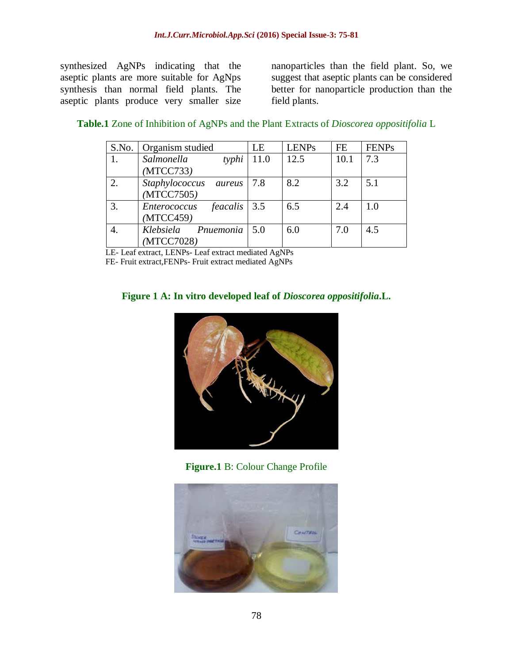synthesized AgNPs indicating that the aseptic plants are more suitable for AgNps synthesis than normal field plants. The aseptic plants produce very smaller size

nanoparticles than the field plant. So, we suggest that aseptic plants can be considered better for nanoparticle production than the field plants.

| S.No. | Organism studied               | LE   | <b>LENPs</b> | FE   | <b>FENPs</b> |
|-------|--------------------------------|------|--------------|------|--------------|
|       | Salmonella<br>typhi            | 11.0 | 12.5         | 10.1 | 7.3          |
|       | (MTCC733)                      |      |              |      |              |
| 2.    | Staphylococcus<br>aureus       | 7.8  | 8.2          | 3.2  | 5.1          |
|       | (MTCC7505)                     |      |              |      |              |
| 3.    | $feacalis$ 3.5<br>Enterococcus |      | 6.5          | 2.4  | 1.0          |
|       | (MTCC459)                      |      |              |      |              |
| 4.    | Pnuemonia<br>Klebsiela         | 5.0  | 6.0          | 7.0  | 4.5          |
|       | (MTCC7028)                     |      |              |      |              |

**Table.1** Zone of Inhibition of AgNPs and the Plant Extracts of *Dioscorea oppositifolia* L

LE- Leaf extract, LENPs- Leaf extract mediated AgNPs

FE- Fruit extract,FENPs- Fruit extract mediated AgNPs

### **Figure 1 A: In vitro developed leaf of** *Dioscorea oppositifolia***.L.**



**Figure.1** B: Colour Change Profile

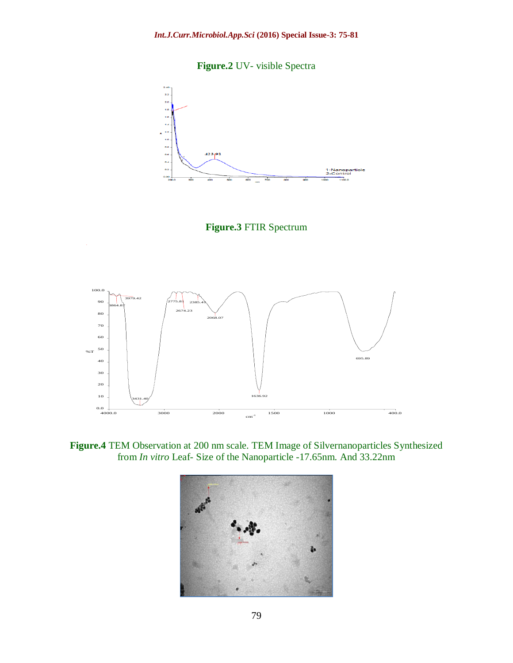**Figure.2** UV- visible Spectra







**Figure.4** TEM Observation at 200 nm scale. TEM Image of Silvernanoparticles Synthesized from *In vitro* Leaf- Size of the Nanoparticle -17.65nm. And 33.22nm

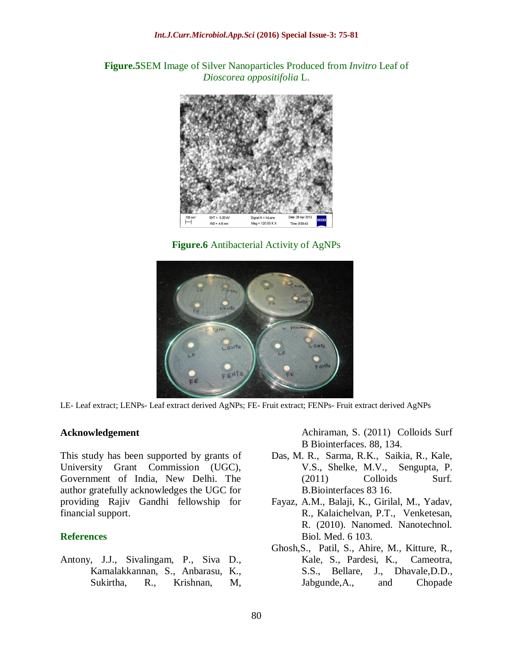**Figure.5**SEM Image of Silver Nanoparticles Produced from *Invitro* Leaf of *Dioscorea oppositifolia* L.



**Figure.6** Antibacterial Activity of AgNPs



LE- Leaf extract; LENPs- Leaf extract derived AgNPs; FE- Fruit extract; FENPs- Fruit extract derived AgNPs

#### **Acknowledgement**

This study has been supported by grants of University Grant Commission (UGC), Government of India, New Delhi. The author gratefully acknowledges the UGC for providing Rajiv Gandhi fellowship for financial support.

#### **References**

[Antony, J.J.](http://www.ncbi.nlm.nih.gov/pubmed?term=Antony%20JJ%5BAuthor%5D&cauthor=true&cauthor_uid=21764570), [Sivalingam, P.](http://www.ncbi.nlm.nih.gov/pubmed?term=Sivalingam%20P%5BAuthor%5D&cauthor=true&cauthor_uid=21764570), [Siva D.](http://www.ncbi.nlm.nih.gov/pubmed?term=Siva%20D%5BAuthor%5D&cauthor=true&cauthor_uid=21764570), [Kamalakkannan, S.](http://www.ncbi.nlm.nih.gov/pubmed?term=Kamalakkannan%20S%5BAuthor%5D&cauthor=true&cauthor_uid=21764570), [Anbarasu, K.](http://www.ncbi.nlm.nih.gov/pubmed?term=Anbarasu%20K%5BAuthor%5D&cauthor=true&cauthor_uid=21764570), [Sukirtha, R.](http://www.ncbi.nlm.nih.gov/pubmed?term=Sukirtha%20R%5BAuthor%5D&cauthor=true&cauthor_uid=21764570), [Krishnan, M,](http://www.ncbi.nlm.nih.gov/pubmed?term=Krishnan%20M%5BAuthor%5D&cauthor=true&cauthor_uid=21764570)

[Achiraman, S.](http://www.ncbi.nlm.nih.gov/pubmed?term=Achiraman%20S%5BAuthor%5D&cauthor=true&cauthor_uid=21764570) (2011) [Colloids Surf](http://www.ncbi.nlm.nih.gov/pubmed/21764570)  [B Biointerfaces.](http://www.ncbi.nlm.nih.gov/pubmed/21764570) 88, 134.

- Das, M. R., Sarma, R.K., Saikia, R., Kale, V.S., Shelke, M.V., Sengupta, P. (2011) Colloids Surf. B.Biointerfaces 83 16.
- Fayaz, A.M., Balaji, K., Girilal, M., Yadav, R., Kalaichelvan, P.T., Venketesan, R. (2010). Nanomed. Nanotechnol. Biol. Med. 6 103.
- Ghosh,S., Patil, S., Ahire, M., Kitture, R., Kale, S., Pardesi, K., Cameotra, S.S., Bellare, J., Dhavale,D.D., Jabgunde,A., and Chopade